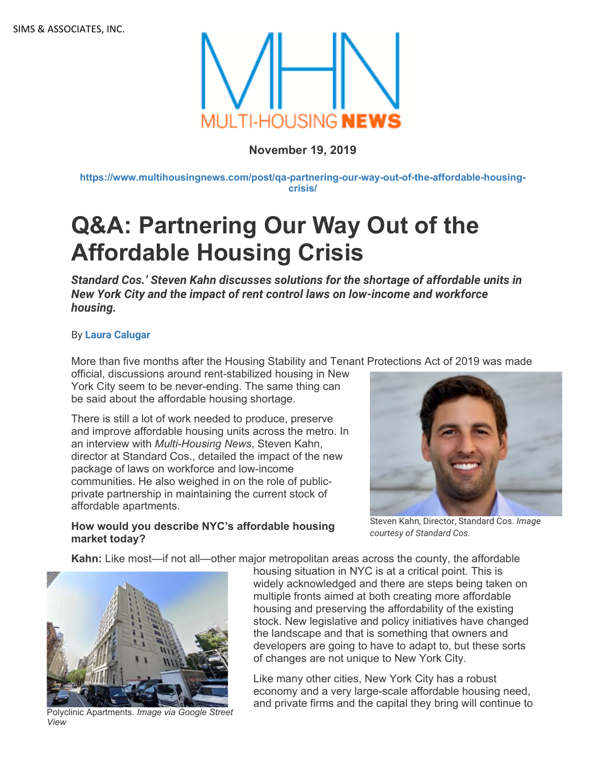

# **November 19, 2019**

**[https://www.multihousingnews.com/post/qa-partnering-our-way-out-of-the-affordable-housing](https://www.multihousingnews.com/post/qa-partnering-our-way-out-of-the-affordable-housing-crisis/)[crisis/](https://www.multihousingnews.com/post/qa-partnering-our-way-out-of-the-affordable-housing-crisis/)**

# **Q&A: Partnering Our Way Out of the Affordable Housing Crisis**

*Standard Cos.' Steven Kahn discusses solutions for the shortage of affordable units in New York City and the impact of rent control laws on low-income and workforce housing.* 

### By **[Laura Calugar](https://www.multihousingnews.com/author/laura-calugar/)**

More than five months after the Housing Stability and Tenant Protections Act of 2019 was made

official, discussions around rent-stabilized housing in New York City seem to be never-ending. The same thing can be said about the affordable housing shortage.

There is still a lot of work needed to produce, preserve and improve affordable housing units across the metro. In an interview with *Multi-Housing News*, Steven Kahn, director at Standard Cos., detailed the impact of the new package of laws on workforce and low-income communities. He also weighed in on the role of publicprivate partnership in maintaining the current stock of affordable apartments.



Steven Kahn, Director, Standard Cos. *Image courtesy of Standard Cos.*

## **How would you describe NYC's affordable housing market today?**

**Kahn:** Like most—if not all—other major metropolitan areas across the county, the affordable



*View*

housing situation in NYC is at a critical point. This is widely acknowledged and there are steps being taken on multiple fronts aimed at both creating more affordable housing and preserving the affordability of the existing stock. New legislative and policy initiatives have changed the landscape and that is something that owners and developers are going to have to adapt to, but these sorts of changes are not unique to New York City.

Like many other cities, New York City has a robust economy and a very large-scale affordable housing need, and private firms and the capital they bring will continue to Polyclinic Apartments. *Image via Google Street*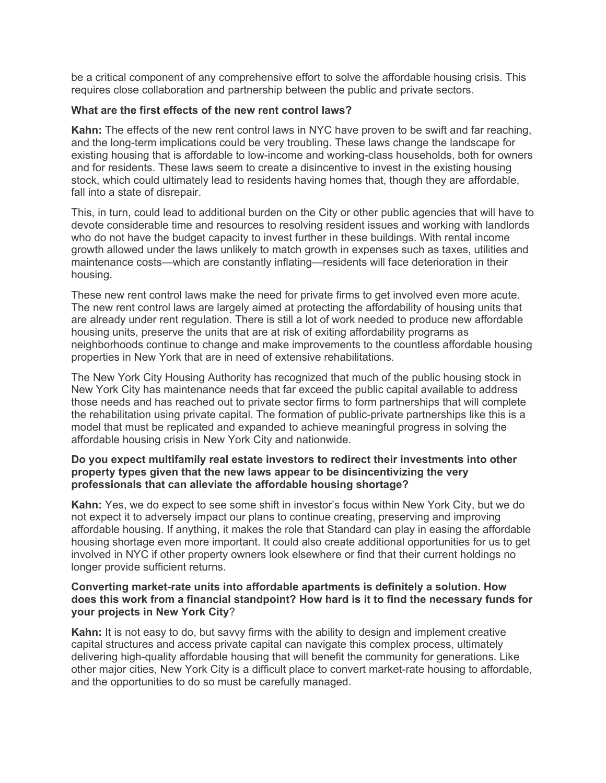be a critical component of any comprehensive effort to solve the affordable housing crisis. This requires close collaboration and partnership between the public and private sectors.

#### **What are the first effects of the new rent control laws?**

**Kahn:** The effects of the new rent control laws in NYC have proven to be swift and far reaching, and the long-term implications could be very troubling. These laws change the landscape for existing housing that is affordable to low-income and working-class households, both for owners and for residents. These laws seem to create a disincentive to invest in the existing housing stock, which could ultimately lead to residents having homes that, though they are affordable, fall into a state of disrepair.

This, in turn, could lead to additional burden on the City or other public agencies that will have to devote considerable time and resources to resolving resident issues and working with landlords who do not have the budget capacity to invest further in these buildings. With rental income growth allowed under the laws unlikely to match growth in expenses such as taxes, utilities and maintenance costs—which are constantly inflating—residents will face deterioration in their housing.

These new rent control laws make the need for private firms to get involved even more acute. The new rent control laws are largely aimed at protecting the affordability of housing units that are already under rent regulation. There is still a lot of work needed to produce new affordable housing units, preserve the units that are at risk of exiting affordability programs as neighborhoods continue to change and make improvements to the countless affordable housing properties in New York that are in need of extensive rehabilitations.

The New York City Housing Authority has recognized that much of the public housing stock in New York City has maintenance needs that far exceed the public capital available to address those needs and has reached out to private sector firms to form partnerships that will complete the rehabilitation using private capital. The formation of public-private partnerships like this is a model that must be replicated and expanded to achieve meaningful progress in solving the affordable housing crisis in New York City and nationwide.

#### **Do you expect multifamily real estate investors to redirect their investments into other property types given that the new laws appear to be disincentivizing the very professionals that can alleviate the affordable housing shortage?**

**Kahn:** Yes, we do expect to see some shift in investor's focus within New York City, but we do not expect it to adversely impact our plans to continue creating, preserving and improving affordable housing. If anything, it makes the role that Standard can play in easing the affordable housing shortage even more important. It could also create additional opportunities for us to get involved in NYC if other property owners look elsewhere or find that their current holdings no longer provide sufficient returns.

#### **Converting market-rate units into affordable apartments is definitely a solution. How does this work from a financial standpoint? How hard is it to find the necessary funds for your projects in New York City**?

**Kahn:** It is not easy to do, but savvy firms with the ability to design and implement creative capital structures and access private capital can navigate this complex process, ultimately delivering high-quality affordable housing that will benefit the community for generations. Like other major cities, New York City is a difficult place to convert market-rate housing to affordable, and the opportunities to do so must be carefully managed.